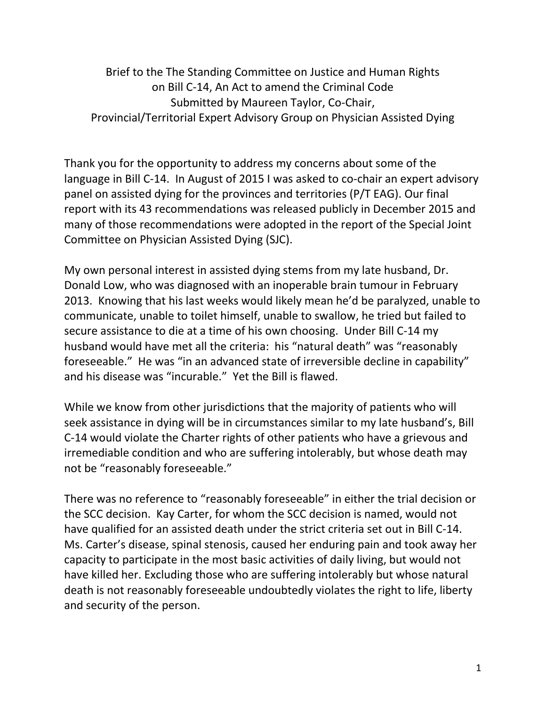Brief to the The Standing Committee on Justice and Human Rights on Bill C-14, An Act to amend the Criminal Code Submitted by Maureen Taylor, Co-Chair, Provincial/Territorial Expert Advisory Group on Physician Assisted Dying

Thank you for the opportunity to address my concerns about some of the language in Bill C-14. In August of 2015 I was asked to co-chair an expert advisory panel on assisted dying for the provinces and territories (P/T EAG). Our final report with its 43 recommendations was released publicly in December 2015 and many of those recommendations were adopted in the report of the Special Joint Committee on Physician Assisted Dying (SJC).

My own personal interest in assisted dying stems from my late husband, Dr. Donald Low, who was diagnosed with an inoperable brain tumour in February 2013. Knowing that his last weeks would likely mean he'd be paralyzed, unable to communicate, unable to toilet himself, unable to swallow, he tried but failed to secure assistance to die at a time of his own choosing. Under Bill C-14 my husband would have met all the criteria: his "natural death" was "reasonably foreseeable." He was "in an advanced state of irreversible decline in capability" and his disease was "incurable." Yet the Bill is flawed.

While we know from other jurisdictions that the majority of patients who will seek assistance in dying will be in circumstances similar to my late husband's, Bill C-14 would violate the Charter rights of other patients who have a grievous and irremediable condition and who are suffering intolerably, but whose death may not be "reasonably foreseeable."

There was no reference to "reasonably foreseeable" in either the trial decision or the SCC decision. Kay Carter, for whom the SCC decision is named, would not have qualified for an assisted death under the strict criteria set out in Bill C-14. Ms. Carter's disease, spinal stenosis, caused her enduring pain and took away her capacity to participate in the most basic activities of daily living, but would not have killed her. Excluding those who are suffering intolerably but whose natural death is not reasonably foreseeable undoubtedly violates the right to life, liberty and security of the person.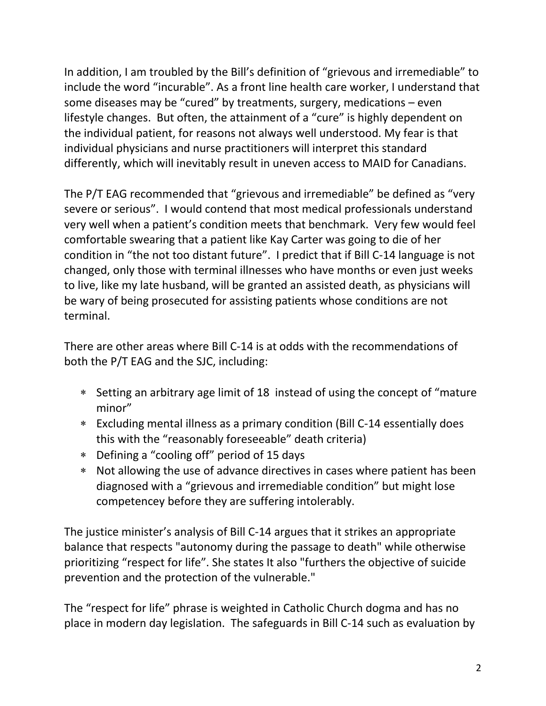In addition, I am troubled by the Bill's definition of "grievous and irremediable" to include the word "incurable". As a front line health care worker, I understand that some diseases may be "cured" by treatments, surgery, medications – even lifestyle changes. But often, the attainment of a "cure" is highly dependent on the individual patient, for reasons not always well understood. My fear is that individual physicians and nurse practitioners will interpret this standard differently, which will inevitably result in uneven access to MAID for Canadians.

The P/T EAG recommended that "grievous and irremediable" be defined as "very severe or serious". I would contend that most medical professionals understand very well when a patient's condition meets that benchmark. Very few would feel comfortable swearing that a patient like Kay Carter was going to die of her condition in "the not too distant future". I predict that if Bill C-14 language is not changed, only those with terminal illnesses who have months or even just weeks to live, like my late husband, will be granted an assisted death, as physicians will be wary of being prosecuted for assisting patients whose conditions are not terminal.

There are other areas where Bill C-14 is at odds with the recommendations of both the P/T EAG and the SJC, including:

- ∗ Setting an arbitrary age limit of 18 instead of using the concept of "mature minor"
- ∗ Excluding mental illness as a primary condition (Bill C-14 essentially does this with the "reasonably foreseeable" death criteria)
- ∗ Defining a "cooling off" period of 15 days
- ∗ Not allowing the use of advance directives in cases where patient has been diagnosed with a "grievous and irremediable condition" but might lose competencey before they are suffering intolerably.

The justice minister's analysis of Bill C-14 argues that it strikes an appropriate balance that respects "autonomy during the passage to death" while otherwise prioritizing "respect for life". She states It also "furthers the objective of suicide prevention and the protection of the vulnerable."

The "respect for life" phrase is weighted in Catholic Church dogma and has no place in modern day legislation. The safeguards in Bill C-14 such as evaluation by